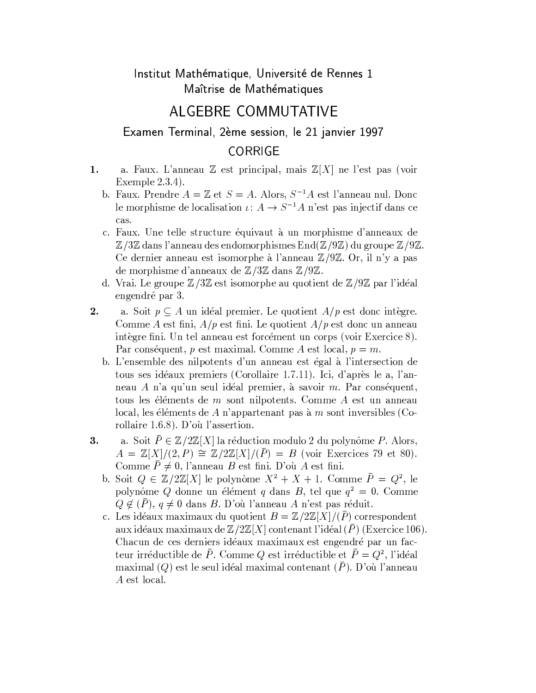## Institut Mathématique, Université de Rennes 1 Maîtrise de Mathématiques

## ALGEBRE COMMUTATIVE

Examen Terminal, 2ème session, le 21 janvier 1997

## **CORRIGE**

- a. Faux. L'anneau  $\mathbb Z$  est principal, mais  $\mathbb Z[X]$  ne l'est pas (voir 1. Exemple  $2.3.4$ ).
	- b. Faux. Prendre  $A = \mathbb{Z}$  et  $S = A$ . Alors,  $S^{-1}A$  est l'anneau nul. Donc le morphisme de localisation  $\iota: A \to S^{-1}A$  n'est pas injectif dans ce cas.
	- c. Faux. Une telle structure équivaut à un morphisme d'anneaux de  $\mathbb{Z}/3\mathbb{Z}$  dans l'anneau des endomorphismes  $\text{End}(\mathbb{Z}/9\mathbb{Z})$  du groupe  $\mathbb{Z}/9\mathbb{Z}$ . Ce dernier anneau est isomorphe à l'anneau  $\mathbb{Z}/9\mathbb{Z}$ . Or, il n'y a pas de morphisme d'anneaux de  $\mathbb{Z}/3\mathbb{Z}$  dans  $\mathbb{Z}/9\mathbb{Z}$ .
	- d. Vrai. Le groupe  $\mathbb{Z}/3\mathbb{Z}$  est isomorphe au quotient de  $\mathbb{Z}/9\mathbb{Z}$  par l'idéal engendré par 3.
- $2.$ a. Soit  $p \subseteq A$  un idéal premier. Le quotient  $A/p$  est donc intègre. Comme A est fini,  $A/p$  est fini. Le quotient  $A/p$  est donc un anneau intègre fini. Un tel anneau est forcément un corps (voir Exercice 8). Par conséquent, p est maximal. Comme A est local,  $p = m$ .
	- b. L'ensemble des nilpotents d'un anneau est égal à l'intersection de tous ses idéaux premiers (Corollaire 1.7.11). Ici, d'après le a, l'anneau A n'a qu'un seul idéal premier, à savoir m. Par conséquent, tous les éléments de  $m$  sont nilpotents. Comme  $A$  est un anneau local, les éléments de A n'appartenant pas à m sont inversibles (Corollaire 1.6.8). D'où l'assertion.
- a. Soit  $P \in \mathbb{Z}/2\mathbb{Z}[X]$  la réduction modulo 2 du polynôme P. Alors, 3.  $A = \mathbb{Z}[X]/(2, P) \cong \mathbb{Z}/2\mathbb{Z}[X]/(\overline{P}) = B$  (voir Exercices 79 et 80). Comme  $\overline{P} \neq 0$ , l'anneau B est fini. D'où A est fini.
	- b. Soit  $Q \in \mathbb{Z}/2\mathbb{Z}[X]$  le polynôme  $X^2 + X + 1$ . Comme  $\overline{P} = Q^2$ , le polynôme Q donne un élément q dans B, tel que  $q^2 = 0$ . Comme  $Q \notin (\bar{P}), q \neq 0$  dans B. D'où l'anneau A n'est pas réduit.
	- c. Les idéaux maximaux du quotient  $B=\mathbb{Z}/2\mathbb{Z}[X]/(\bar{P})$  correspondent aux idéaux maximaux de  $\mathbb{Z}/2\mathbb{Z}[X]$  contenant l'idéal ( $\bar{P}$ ) (Exercice 106). Chacun de ces derniers idéaux maximaux est engendré par un facteur irréductible de  $\bar{P}$ . Comme  $Q$  est irréductible et  $\bar{P}=Q^2$ , l'idéal maximal (Q) est le seul idéal maximal contenant ( $\bar{P}$ ). D'où l'anneau  $A$  est local.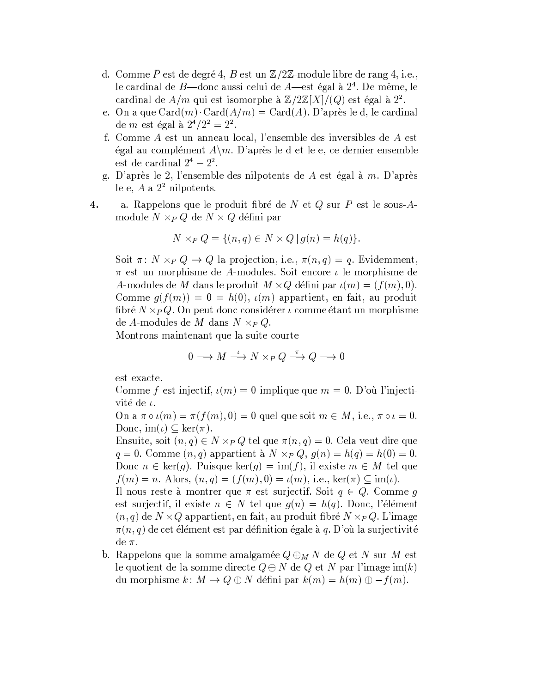- d. Comme  $\bar{P}$  est de degré 4, B est un  $\mathbb{Z}/2\mathbb{Z}$ -module libre de rang 4, i.e., le cardinal de B—donc aussi celui de A—est égal à  $2<sup>4</sup>$ . De même, le cardinal de  $A/m$  qui est isomorphe à  $\mathbb{Z}/2\mathbb{Z}[X]/(Q)$  est égal à  $2^2$ .
- e. On a que  $Card(m)\cdot Card(A/m)=Card(A)$ . D'après le d, le cardinal de *m* est égal à  $2^4/2^2 = 2^2$ .
- f. Comme A est un anneau local, l'ensemble des inversibles de A est égal au complément A\m. D'après le d et le e, ce dernier ensemble est de cardinal  $2^4-2^2.$
- g. D'après le 2, l'ensemble des nilpotents de A est égal à  $m$ . D'après le e, A a  $2^2$  nilpotents.
- a. Rappelons que le produit fibré de  $N$  et  $Q$  sur  $P$  est le sous-A- $4.$ module  $N \times_P Q$  de  $N \times Q$  défini par

$$
N \times_P Q = \{ (n, q) \in N \times Q \mid g(n) = h(q) \}.
$$

Soit  $\pi: N \times_{P} Q \to Q$  la projection, i.e.,  $\pi(n,q) = q$ . Evidemment,  $\pi$  est un morphisme de A-modules. Soit encore  $\iota$  le morphisme de A-modules de M dans le produit  $M \times Q$  défini par  $\iota(m) = (f(m), 0)$ . Comme  $q(f(m)) = 0 = h(0), \iota(m)$  appartient, en fait, au produit fibré  $N \times_{P} Q$ . On peut donc considérer  $\iota$  comme étant un morphisme de A-modules de M dans  $N \times_{P} Q$ .

Montrons maintenant que la suite courte

$$
0 \longrightarrow M \stackrel{\iota}{\longrightarrow} N \times_P Q \stackrel{\pi}{\longrightarrow} Q \longrightarrow 0
$$

est exacte.

Comme f est injectif,  $\iota(m) = 0$  implique que  $m = 0$ . D'où l'injectivité de  $\iota$ .

On a  $\pi \circ \iota(m) = \pi(f(m), 0) = 0$  quel que soit  $m \in M$ , i.e.,  $\pi \circ \iota = 0$ . Donc,  $\text{im}(\iota) \subseteq \text{ker}(\pi)$ .

Ensuite, soit  $(n, q) \in N \times_{P} Q$  tel que  $\pi(n, q) = 0$ . Cela veut dire que  $q = 0$ . Comme  $(n, q)$  appartient à  $N \times_{P} Q$ ,  $q(n) = h(q) = h(0) = 0$ . Donc  $n \in \text{ker}(g)$ . Puisque  $\text{ker}(g) = \text{im}(f)$ , il existe  $m \in M$  tel que  $f(m) = n$ . Alors,  $(n, q) = (f(m), 0) = \iota(m)$ , i.e.,  $\ker(\pi) \subseteq \text{im}(\iota)$ .

Il nous reste à montrer que  $\pi$  est surjectif. Soit  $q \in Q$ . Comme q est surjectif, il existe  $n \in N$  tel que  $q(n) = h(q)$ . Donc, l'élément  $(n,q)$  de  $N \times Q$  appartient, en fait, au produit fibré  $N \times_{P} Q$ . L'image  $\pi(n,q)$  de cet élément est par définition égale à q. D'où la surjectivité  $de \pi$ .

b. Rappelons que la somme amalgamée  $Q \oplus_M N$  de Q et N sur M est le quotient de la somme directe  $Q \oplus N$  de  $Q$  et N par l'image im $(k)$ du morphisme  $k: M \to Q \oplus N$  défini par  $k(m) = h(m) \oplus f(m)$ .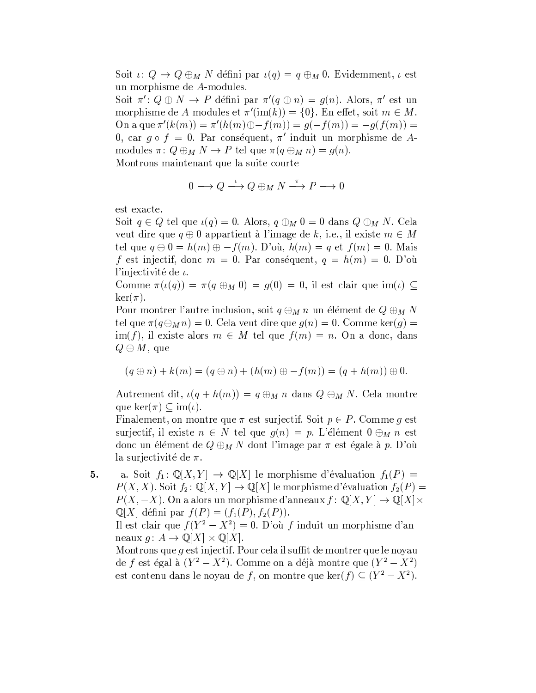Soit  $\iota: Q \to Q \oplus_M N$  défini par  $\iota(q) = q \oplus_M 0$ . Evidemment,  $\iota$  est un morphisme de A-modules.

Soit  $\pi' : Q \oplus N \to P$  défini par  $\pi'(q \oplus n) = g(n)$ . Alors,  $\pi'$  est un morphisme de A-modules et  $\pi'(\text{im}(k)) = \{0\}$ . En effet, soit  $m \in M$ . On a que  $\pi'(k(m)) = \pi'(h(m) \oplus f(m)) = g(-f(m)) = -g(f(m)) =$ 0, car  $g \circ f = 0$ . Par conséquent,  $\pi'$  induit un morphisme de Amodules  $\pi: Q \oplus_M N \to P$  tel que  $\pi(q \oplus_M n) = g(n)$ .

Montrons maintenant que la suite courte

$$
0 \longrightarrow Q \stackrel{\iota}{\longrightarrow} Q \oplus_M N \stackrel{\pi}{\longrightarrow} P \longrightarrow 0
$$

est exacte.

Soit  $q \in Q$  tel que  $\iota(q) = 0$ . Alors,  $q \oplus_M 0 = 0$  dans  $Q \oplus_M N$ . Cela veut dire que  $q \oplus 0$  appartient à l'image de k, i.e., il existe  $m \in M$ tel que  $q \oplus 0 = h(m) \oplus -f(m)$ . D'où,  $h(m) = q$  et  $f(m) = 0$ . Mais f est injectif, donc  $m = 0$ . Par conséquent,  $q = h(m) = 0$ . D'où l'injectivité de  $\iota$ .

Comme  $\pi(\iota(q)) = \pi(q \oplus_M 0) = g(0) = 0$ , il est clair que im $(\iota) \subseteq$  $\ker(\pi)$ .

Pour montrer l'autre inclusion, soit  $q \oplus_M n$  un élément de  $Q \oplus_M N$ tel que  $\pi(q \oplus_M n) = 0$ . Cela veut dire que  $q(n) = 0$ . Comme ker $(q) =$  $\text{im}(f)$ , il existe alors  $m \in M$  tel que  $f(m) = n$ . On a donc, dans  $Q \oplus M$ , que

$$
(q \oplus n) + k(m) = (q \oplus n) + (h(m) \oplus -f(m)) = (q + h(m)) \oplus 0.
$$

Autrement dit,  $\iota(q + h(m)) = q \oplus_M n$  dans  $Q \oplus_M N$ . Cela montre que  $\ker(\pi) \subseteq \text{im}(\iota).$ 

Finalement, on montre que  $\pi$  est surjectif. Soit  $p \in P$ . Comme q est surjectif, il existe  $n \in N$  tel que  $g(n) = p$ . L'élément  $0 \oplus_M n$  est donc un élément de  $Q\oplus_M N$  dont l'image par  $\pi$  est égale à  $p.$  D'où la surjectivité de  $\pi$ .

a. Soit  $f_1: \mathbb{Q}[X, Y] \to \mathbb{Q}[X]$  le morphisme d'évaluation  $f_1(P) =$ 5.  $P(X, X)$ . Soit  $f_2: \mathbb{Q}[X, Y] \to \mathbb{Q}[X]$  le morphisme d'évaluation  $f_2(P)$  =  $P(X, -X)$ . On a alors un morphisme d'anneaux  $f: \mathbb{Q}[X, Y] \to \mathbb{Q}[X] \times$  $\mathbb{Q}[X]$  défini par  $f(P) = (f_1(P), f_2(P)).$ 

Il est clair que  $f(Y^2 - X^2) = 0$ . D'où f induit un morphisme d'anneaux  $q: A \to \mathbb{Q}[X] \times \mathbb{Q}[X]$ .

Montrons que  $q$  est injectif. Pour cela il suffit de montrer que le noyau de f est égal à  $(Y^2 - X^2)$ . Comme on a déjà montre que  $(Y^2 - X^2)$ est contenu dans le noyau de f, on montre que ker $(f) \subseteq (Y^2 - X^2)$ .